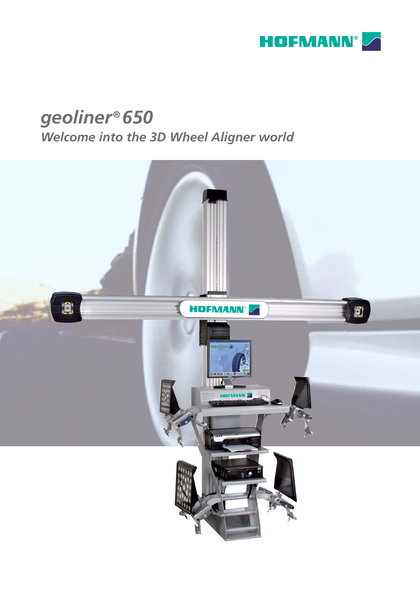

# geoliner® 650

Welcome into the 3D Wheel Aligner world